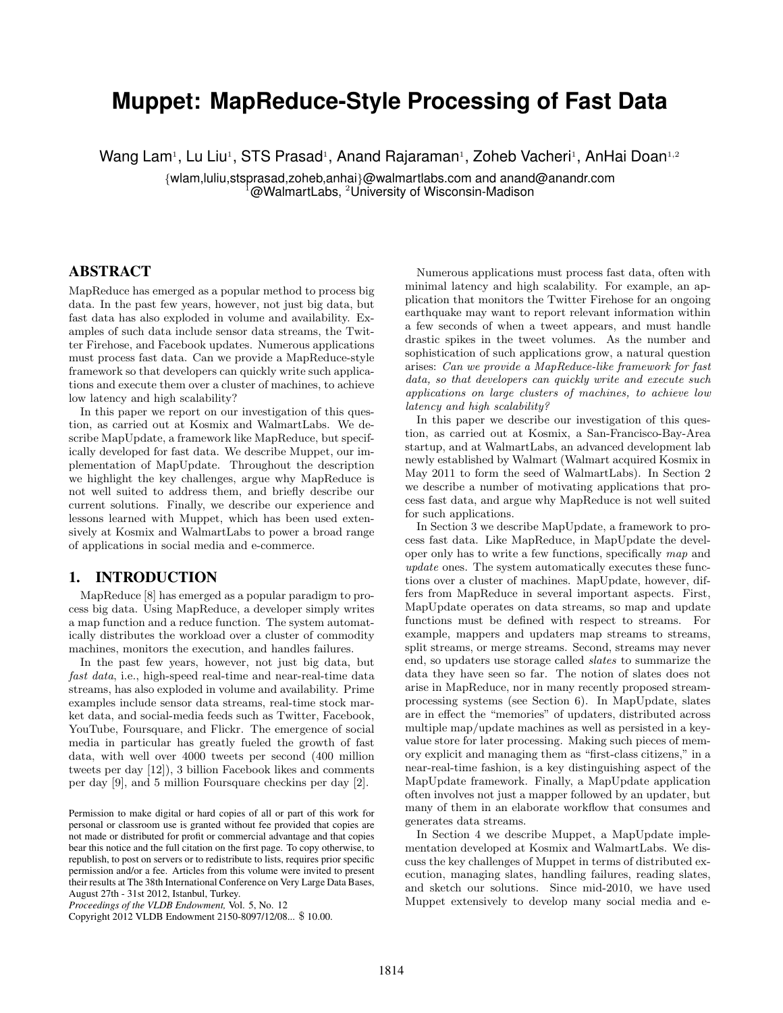# **Muppet: MapReduce-Style Processing of Fast Data**

Wang Lam<sup>1</sup>, Lu Liu<sup>1</sup>, STS Prasad<sup>1</sup>, Anand Rajaraman<sup>1</sup>, Zoheb Vacheri<sup>1</sup>, AnHai Doan<sup>1,2</sup>

{wlam,luliu,stsprasad,zoheb,anhai}@walmartlabs.com and anand@anandr.com <sup>1</sup>@WalmartLabs, <sup>2</sup>University of Wisconsin-Madison

# ABSTRACT

MapReduce has emerged as a popular method to process big data. In the past few years, however, not just big data, but fast data has also exploded in volume and availability. Examples of such data include sensor data streams, the Twitter Firehose, and Facebook updates. Numerous applications must process fast data. Can we provide a MapReduce-style framework so that developers can quickly write such applications and execute them over a cluster of machines, to achieve low latency and high scalability?

In this paper we report on our investigation of this question, as carried out at Kosmix and WalmartLabs. We describe MapUpdate, a framework like MapReduce, but specifically developed for fast data. We describe Muppet, our implementation of MapUpdate. Throughout the description we highlight the key challenges, argue why MapReduce is not well suited to address them, and briefly describe our current solutions. Finally, we describe our experience and lessons learned with Muppet, which has been used extensively at Kosmix and WalmartLabs to power a broad range of applications in social media and e-commerce.

## 1. INTRODUCTION

MapReduce [8] has emerged as a popular paradigm to process big data. Using MapReduce, a developer simply writes a map function and a reduce function. The system automatically distributes the workload over a cluster of commodity machines, monitors the execution, and handles failures.

In the past few years, however, not just big data, but fast data, i.e., high-speed real-time and near-real-time data streams, has also exploded in volume and availability. Prime examples include sensor data streams, real-time stock market data, and social-media feeds such as Twitter, Facebook, YouTube, Foursquare, and Flickr. The emergence of social media in particular has greatly fueled the growth of fast data, with well over 4000 tweets per second (400 million tweets per day [12]), 3 billion Facebook likes and comments per day [9], and 5 million Foursquare checkins per day [2].

*Proceedings of the VLDB Endowment,* Vol. 5, No. 12

Copyright 2012 VLDB Endowment 2150-8097/12/08... \$ 10.00.

Numerous applications must process fast data, often with minimal latency and high scalability. For example, an application that monitors the Twitter Firehose for an ongoing earthquake may want to report relevant information within a few seconds of when a tweet appears, and must handle drastic spikes in the tweet volumes. As the number and sophistication of such applications grow, a natural question arises: Can we provide a MapReduce-like framework for fast data, so that developers can quickly write and execute such applications on large clusters of machines, to achieve low latency and high scalability?

In this paper we describe our investigation of this question, as carried out at Kosmix, a San-Francisco-Bay-Area startup, and at WalmartLabs, an advanced development lab newly established by Walmart (Walmart acquired Kosmix in May 2011 to form the seed of WalmartLabs). In Section 2 we describe a number of motivating applications that process fast data, and argue why MapReduce is not well suited for such applications.

In Section 3 we describe MapUpdate, a framework to process fast data. Like MapReduce, in MapUpdate the developer only has to write a few functions, specifically map and update ones. The system automatically executes these functions over a cluster of machines. MapUpdate, however, differs from MapReduce in several important aspects. First, MapUpdate operates on data streams, so map and update functions must be defined with respect to streams. For example, mappers and updaters map streams to streams, split streams, or merge streams. Second, streams may never end, so updaters use storage called slates to summarize the data they have seen so far. The notion of slates does not arise in MapReduce, nor in many recently proposed streamprocessing systems (see Section 6). In MapUpdate, slates are in effect the "memories" of updaters, distributed across multiple map/update machines as well as persisted in a keyvalue store for later processing. Making such pieces of memory explicit and managing them as "first-class citizens," in a near-real-time fashion, is a key distinguishing aspect of the MapUpdate framework. Finally, a MapUpdate application often involves not just a mapper followed by an updater, but many of them in an elaborate workflow that consumes and generates data streams.

In Section 4 we describe Muppet, a MapUpdate implementation developed at Kosmix and WalmartLabs. We discuss the key challenges of Muppet in terms of distributed execution, managing slates, handling failures, reading slates, and sketch our solutions. Since mid-2010, we have used Muppet extensively to develop many social media and e-

Permission to make digital or hard copies of all or part of this work for personal or classroom use is granted without fee provided that copies are not made or distributed for profit or commercial advantage and that copies bear this notice and the full citation on the first page. To copy otherwise, to republish, to post on servers or to redistribute to lists, requires prior specific permission and/or a fee. Articles from this volume were invited to present their results at The 38th International Conference on Very Large Data Bases, August 27th - 31st 2012, Istanbul, Turkey.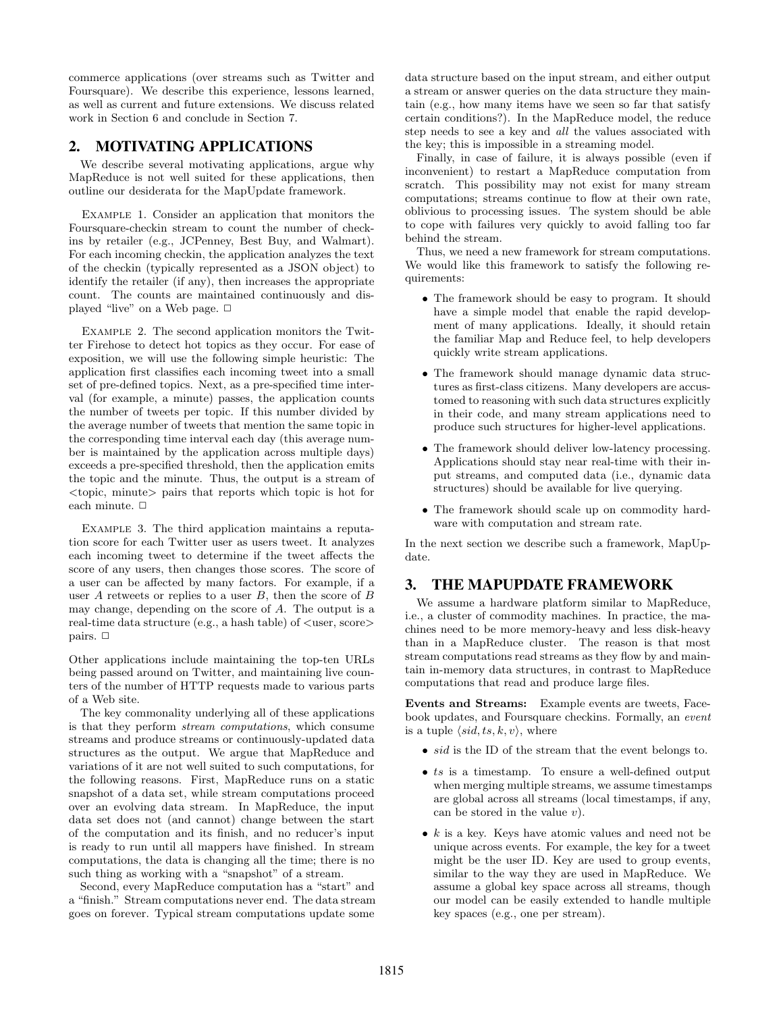commerce applications (over streams such as Twitter and Foursquare). We describe this experience, lessons learned, as well as current and future extensions. We discuss related work in Section 6 and conclude in Section 7.

# 2. MOTIVATING APPLICATIONS

We describe several motivating applications, argue why MapReduce is not well suited for these applications, then outline our desiderata for the MapUpdate framework.

Example 1. Consider an application that monitors the Foursquare-checkin stream to count the number of checkins by retailer (e.g., JCPenney, Best Buy, and Walmart). For each incoming checkin, the application analyzes the text of the checkin (typically represented as a JSON object) to identify the retailer (if any), then increases the appropriate count. The counts are maintained continuously and displayed "live" on a Web page.  $\Box$ 

Example 2. The second application monitors the Twitter Firehose to detect hot topics as they occur. For ease of exposition, we will use the following simple heuristic: The application first classifies each incoming tweet into a small set of pre-defined topics. Next, as a pre-specified time interval (for example, a minute) passes, the application counts the number of tweets per topic. If this number divided by the average number of tweets that mention the same topic in the corresponding time interval each day (this average number is maintained by the application across multiple days) exceeds a pre-specified threshold, then the application emits the topic and the minute. Thus, the output is a stream of <topic, minute> pairs that reports which topic is hot for each minute.  $\Box$ 

Example 3. The third application maintains a reputation score for each Twitter user as users tweet. It analyzes each incoming tweet to determine if the tweet affects the score of any users, then changes those scores. The score of a user can be affected by many factors. For example, if a user  $A$  retweets or replies to a user  $B$ , then the score of  $B$ may change, depending on the score of A. The output is a real-time data structure (e.g., a hash table) of  $\langle$ user, score $\rangle$ pairs.  $\square$ 

Other applications include maintaining the top-ten URLs being passed around on Twitter, and maintaining live counters of the number of HTTP requests made to various parts of a Web site.

The key commonality underlying all of these applications is that they perform stream computations, which consume streams and produce streams or continuously-updated data structures as the output. We argue that MapReduce and variations of it are not well suited to such computations, for the following reasons. First, MapReduce runs on a static snapshot of a data set, while stream computations proceed over an evolving data stream. In MapReduce, the input data set does not (and cannot) change between the start of the computation and its finish, and no reducer's input is ready to run until all mappers have finished. In stream computations, the data is changing all the time; there is no such thing as working with a "snapshot" of a stream.

Second, every MapReduce computation has a "start" and a "finish." Stream computations never end. The data stream goes on forever. Typical stream computations update some data structure based on the input stream, and either output a stream or answer queries on the data structure they maintain (e.g., how many items have we seen so far that satisfy certain conditions?). In the MapReduce model, the reduce step needs to see a key and all the values associated with the key; this is impossible in a streaming model.

Finally, in case of failure, it is always possible (even if inconvenient) to restart a MapReduce computation from scratch. This possibility may not exist for many stream computations; streams continue to flow at their own rate, oblivious to processing issues. The system should be able to cope with failures very quickly to avoid falling too far behind the stream.

Thus, we need a new framework for stream computations. We would like this framework to satisfy the following requirements:

- The framework should be easy to program. It should have a simple model that enable the rapid development of many applications. Ideally, it should retain the familiar Map and Reduce feel, to help developers quickly write stream applications.
- The framework should manage dynamic data structures as first-class citizens. Many developers are accustomed to reasoning with such data structures explicitly in their code, and many stream applications need to produce such structures for higher-level applications.
- The framework should deliver low-latency processing. Applications should stay near real-time with their input streams, and computed data (i.e., dynamic data structures) should be available for live querying.
- The framework should scale up on commodity hardware with computation and stream rate.

In the next section we describe such a framework, MapUpdate.

# 3. THE MAPUPDATE FRAMEWORK

We assume a hardware platform similar to MapReduce, i.e., a cluster of commodity machines. In practice, the machines need to be more memory-heavy and less disk-heavy than in a MapReduce cluster. The reason is that most stream computations read streams as they flow by and maintain in-memory data structures, in contrast to MapReduce computations that read and produce large files.

Events and Streams: Example events are tweets, Facebook updates, and Foursquare checkins. Formally, an event is a tuple  $\langle sid, ts, k, v \rangle$ , where

- *sid* is the ID of the stream that the event belongs to.
- $\bullet$  ts is a timestamp. To ensure a well-defined output when merging multiple streams, we assume timestamps are global across all streams (local timestamps, if any, can be stored in the value  $v$ ).
- $k$  is a key. Keys have atomic values and need not be unique across events. For example, the key for a tweet might be the user ID. Key are used to group events, similar to the way they are used in MapReduce. We assume a global key space across all streams, though our model can be easily extended to handle multiple key spaces (e.g., one per stream).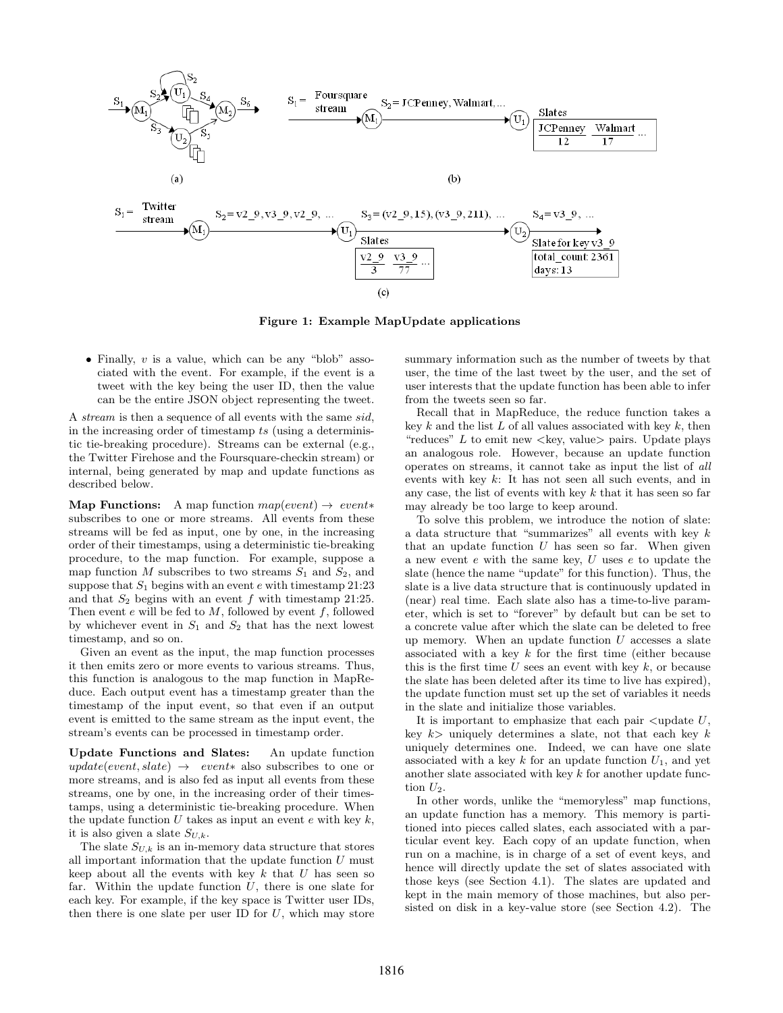

Figure 1: Example MapUpdate applications

• Finally,  $v$  is a value, which can be any "blob" associated with the event. For example, if the event is a tweet with the key being the user ID, then the value can be the entire JSON object representing the tweet.

A stream is then a sequence of all events with the same sid, in the increasing order of timestamp ts (using a deterministic tie-breaking procedure). Streams can be external (e.g., the Twitter Firehose and the Foursquare-checkin stream) or internal, being generated by map and update functions as described below.

Map Functions: A map function  $map(event) \rightarrow event*$ subscribes to one or more streams. All events from these streams will be fed as input, one by one, in the increasing order of their timestamps, using a deterministic tie-breaking procedure, to the map function. For example, suppose a map function M subscribes to two streams  $S_1$  and  $S_2$ , and suppose that  $S_1$  begins with an event e with timestamp 21:23 and that  $S_2$  begins with an event f with timestamp 21:25. Then event  $e$  will be fed to  $M$ , followed by event  $f$ , followed by whichever event in  $S_1$  and  $S_2$  that has the next lowest timestamp, and so on.

Given an event as the input, the map function processes it then emits zero or more events to various streams. Thus, this function is analogous to the map function in MapReduce. Each output event has a timestamp greater than the timestamp of the input event, so that even if an output event is emitted to the same stream as the input event, the stream's events can be processed in timestamp order.

Update Functions and Slates: An update function  $update(event, plate) \rightarrow event*$  also subscribes to one or more streams, and is also fed as input all events from these streams, one by one, in the increasing order of their timestamps, using a deterministic tie-breaking procedure. When the update function  $U$  takes as input an event  $e$  with key  $k$ , it is also given a slate  $S_{U,k}$ .

The slate  $S_{U,k}$  is an in-memory data structure that stores all important information that the update function  $U$  must keep about all the events with key  $k$  that  $U$  has seen so far. Within the update function  $U$ , there is one slate for each key. For example, if the key space is Twitter user IDs, then there is one slate per user ID for  $U$ , which may store summary information such as the number of tweets by that user, the time of the last tweet by the user, and the set of user interests that the update function has been able to infer from the tweets seen so far.

Recall that in MapReduce, the reduce function takes a key k and the list  $L$  of all values associated with key k, then "reduces" L to emit new  $\langle$ key, value $\rangle$  pairs. Update plays an analogous role. However, because an update function operates on streams, it cannot take as input the list of all events with key k: It has not seen all such events, and in any case, the list of events with key  $k$  that it has seen so far may already be too large to keep around.

To solve this problem, we introduce the notion of slate: a data structure that "summarizes" all events with key k that an update function  $U$  has seen so far. When given a new event e with the same key, U uses e to update the slate (hence the name "update" for this function). Thus, the slate is a live data structure that is continuously updated in (near) real time. Each slate also has a time-to-live parameter, which is set to "forever" by default but can be set to a concrete value after which the slate can be deleted to free up memory. When an update function  $U$  accesses a slate associated with a key  $k$  for the first time (either because this is the first time  $U$  sees an event with key  $k$ , or because the slate has been deleted after its time to live has expired), the update function must set up the set of variables it needs in the slate and initialize those variables.

It is important to emphasize that each pair  $\langle$ update U, key  $k$  uniquely determines a slate, not that each key k uniquely determines one. Indeed, we can have one slate associated with a key  $k$  for an update function  $U_1$ , and yet another slate associated with key  $k$  for another update function  $U_2$ .

In other words, unlike the "memoryless" map functions, an update function has a memory. This memory is partitioned into pieces called slates, each associated with a particular event key. Each copy of an update function, when run on a machine, is in charge of a set of event keys, and hence will directly update the set of slates associated with those keys (see Section 4.1). The slates are updated and kept in the main memory of those machines, but also persisted on disk in a key-value store (see Section 4.2). The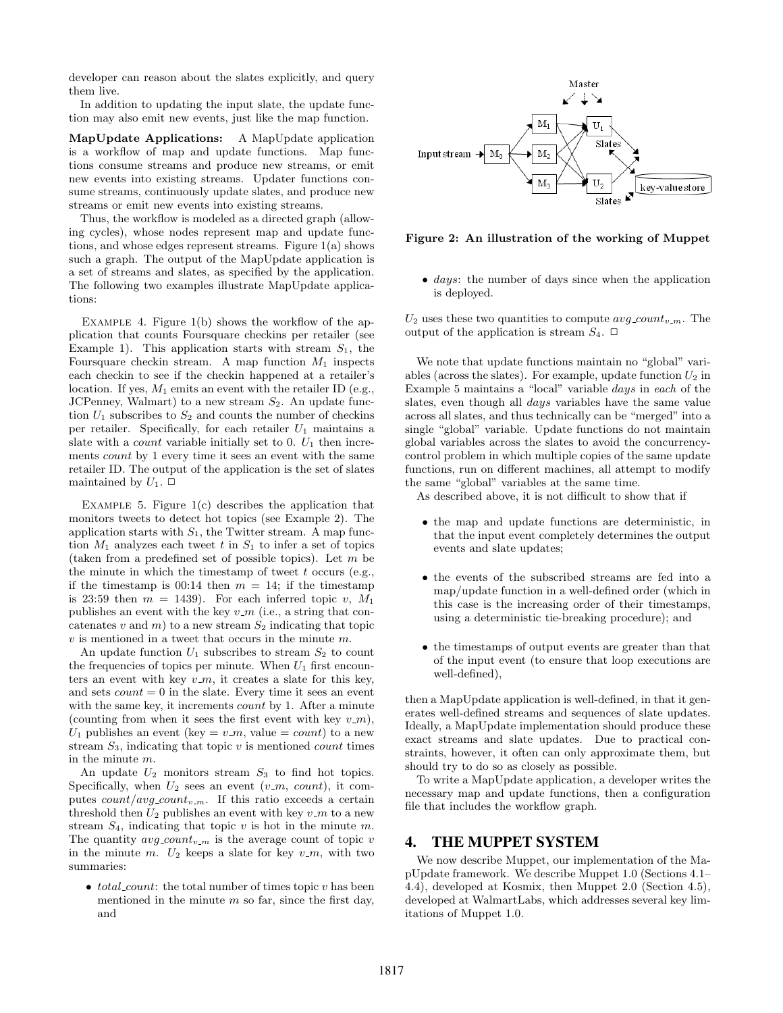developer can reason about the slates explicitly, and query them live.

In addition to updating the input slate, the update function may also emit new events, just like the map function.

MapUpdate Applications: A MapUpdate application is a workflow of map and update functions. Map functions consume streams and produce new streams, or emit new events into existing streams. Updater functions consume streams, continuously update slates, and produce new streams or emit new events into existing streams.

Thus, the workflow is modeled as a directed graph (allowing cycles), whose nodes represent map and update functions, and whose edges represent streams. Figure 1(a) shows such a graph. The output of the MapUpdate application is a set of streams and slates, as specified by the application. The following two examples illustrate MapUpdate applications:

EXAMPLE 4. Figure  $1(b)$  shows the workflow of the application that counts Foursquare checkins per retailer (see Example 1). This application starts with stream  $S_1$ , the Foursquare checkin stream. A map function  $M_1$  inspects each checkin to see if the checkin happened at a retailer's location. If yes,  $M_1$  emits an event with the retailer ID (e.g., JCPenney, Walmart) to a new stream  $S_2$ . An update function  $U_1$  subscribes to  $S_2$  and counts the number of checkins per retailer. Specifically, for each retailer  $U_1$  maintains a slate with a *count* variable initially set to 0.  $U_1$  then increments count by 1 every time it sees an event with the same retailer ID. The output of the application is the set of slates maintained by  $U_1$ .  $\Box$ 

EXAMPLE 5. Figure  $1(c)$  describes the application that monitors tweets to detect hot topics (see Example 2). The application starts with  $S_1$ , the Twitter stream. A map function  $M_1$  analyzes each tweet t in  $S_1$  to infer a set of topics (taken from a predefined set of possible topics). Let  $m$  be the minute in which the timestamp of tweet  $t$  occurs (e.g., if the timestamp is 00:14 then  $m = 14$ ; if the timestamp is 23:59 then  $m = 1439$ . For each inferred topic v,  $M_1$ publishes an event with the key  $v_{\text{-}m}$  (i.e., a string that concatenates v and m) to a new stream  $S_2$  indicating that topic  $v$  is mentioned in a tweet that occurs in the minute  $m$ .

An update function  $U_1$  subscribes to stream  $S_2$  to count the frequencies of topics per minute. When  $U_1$  first encounters an event with key  $v_{\perp}m$ , it creates a slate for this key, and sets  $count = 0$  in the slate. Every time it sees an event with the same key, it increments *count* by 1. After a minute (counting from when it sees the first event with key  $v_{\perp}m$ ),  $U_1$  publishes an event (key =  $v$ <sub>-</sub>*m*, value = *count*) to a new stream  $S_3$ , indicating that topic  $v$  is mentioned *count* times in the minute m.

An update  $U_2$  monitors stream  $S_3$  to find hot topics. Specifically, when  $U_2$  sees an event  $(v_{-m}, \text{count})$ , it computes  $count/avg_count_{v_m}$ . If this ratio exceeds a certain threshold then  $U_2$  publishes an event with key  $v_{\perp}m$  to a new stream  $S_4$ , indicating that topic v is hot in the minute m. The quantity  $avg\_count_{v_m}$  is the average count of topic v in the minute m.  $U_2$  keeps a slate for key  $v_{\perp}m$ , with two summaries:

 $\bullet$  total\_count: the total number of times topic v has been mentioned in the minute  $m$  so far, since the first day, and



Figure 2: An illustration of the working of Muppet

• *days*: the number of days since when the application is deployed.

 $U_2$  uses these two quantities to compute  $avg\_count_{v_m}$ . The output of the application is stream  $S_4$ .  $\Box$ 

We note that update functions maintain no "global" variables (across the slates). For example, update function  $U_2$  in Example 5 maintains a "local" variable days in each of the slates, even though all days variables have the same value across all slates, and thus technically can be "merged" into a single "global" variable. Update functions do not maintain global variables across the slates to avoid the concurrencycontrol problem in which multiple copies of the same update functions, run on different machines, all attempt to modify the same "global" variables at the same time.

As described above, it is not difficult to show that if

- the map and update functions are deterministic, in that the input event completely determines the output events and slate updates;
- the events of the subscribed streams are fed into a map/update function in a well-defined order (which in this case is the increasing order of their timestamps, using a deterministic tie-breaking procedure); and
- the timestamps of output events are greater than that of the input event (to ensure that loop executions are well-defined),

then a MapUpdate application is well-defined, in that it generates well-defined streams and sequences of slate updates. Ideally, a MapUpdate implementation should produce these exact streams and slate updates. Due to practical constraints, however, it often can only approximate them, but should try to do so as closely as possible.

To write a MapUpdate application, a developer writes the necessary map and update functions, then a configuration file that includes the workflow graph.

#### 4. THE MUPPET SYSTEM

We now describe Muppet, our implementation of the MapUpdate framework. We describe Muppet 1.0 (Sections 4.1– 4.4), developed at Kosmix, then Muppet 2.0 (Section 4.5), developed at WalmartLabs, which addresses several key limitations of Muppet 1.0.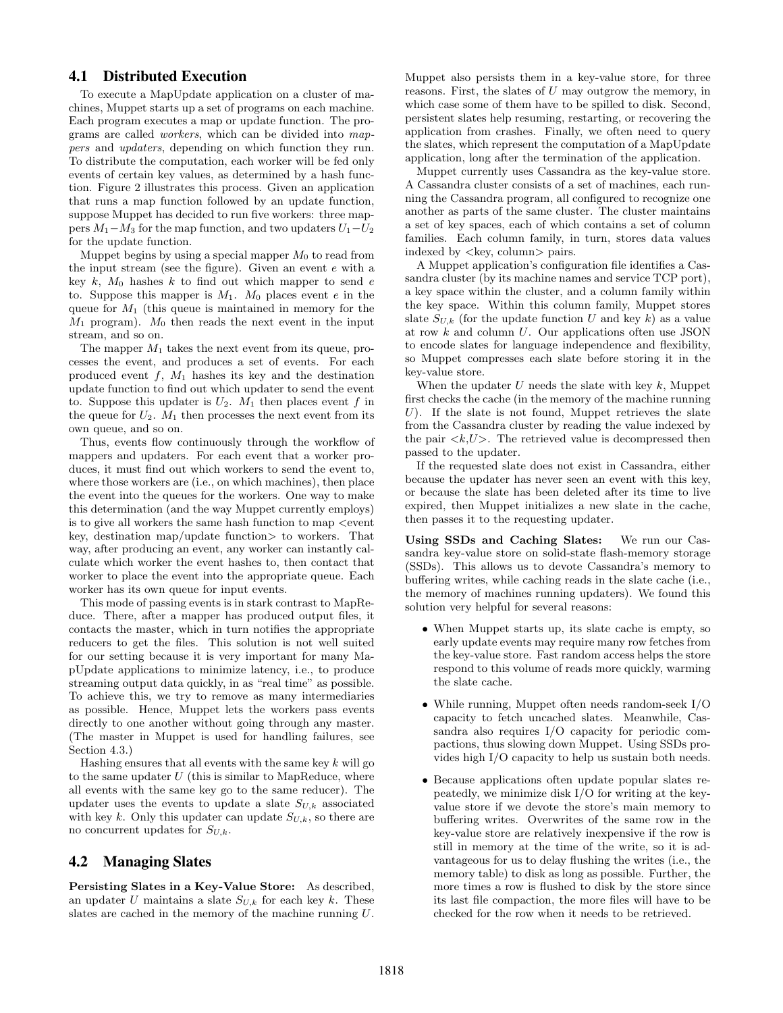## 4.1 Distributed Execution

To execute a MapUpdate application on a cluster of machines, Muppet starts up a set of programs on each machine. Each program executes a map or update function. The programs are called workers, which can be divided into mappers and updaters, depending on which function they run. To distribute the computation, each worker will be fed only events of certain key values, as determined by a hash function. Figure 2 illustrates this process. Given an application that runs a map function followed by an update function, suppose Muppet has decided to run five workers: three mappers  $M_1-M_3$  for the map function, and two updaters  $U_1-U_2$ for the update function.

Muppet begins by using a special mapper  $M_0$  to read from the input stream (see the figure). Given an event e with a key  $k$ ,  $M_0$  hashes  $k$  to find out which mapper to send  $e$ to. Suppose this mapper is  $M_1$ .  $M_0$  places event e in the queue for  $M_1$  (this queue is maintained in memory for the  $M_1$  program).  $M_0$  then reads the next event in the input stream, and so on.

The mapper  $M_1$  takes the next event from its queue, processes the event, and produces a set of events. For each produced event  $f, M_1$  hashes its key and the destination update function to find out which updater to send the event to. Suppose this updater is  $U_2$ .  $M_1$  then places event f in the queue for  $U_2$ .  $M_1$  then processes the next event from its own queue, and so on.

Thus, events flow continuously through the workflow of mappers and updaters. For each event that a worker produces, it must find out which workers to send the event to, where those workers are (i.e., on which machines), then place the event into the queues for the workers. One way to make this determination (and the way Muppet currently employs) is to give all workers the same hash function to map  $\leq$  event key, destination map/update function> to workers. That way, after producing an event, any worker can instantly calculate which worker the event hashes to, then contact that worker to place the event into the appropriate queue. Each worker has its own queue for input events.

This mode of passing events is in stark contrast to MapReduce. There, after a mapper has produced output files, it contacts the master, which in turn notifies the appropriate reducers to get the files. This solution is not well suited for our setting because it is very important for many MapUpdate applications to minimize latency, i.e., to produce streaming output data quickly, in as "real time" as possible. To achieve this, we try to remove as many intermediaries as possible. Hence, Muppet lets the workers pass events directly to one another without going through any master. (The master in Muppet is used for handling failures, see Section 4.3.)

Hashing ensures that all events with the same key  $k$  will go to the same updater  $U$  (this is similar to MapReduce, where all events with the same key go to the same reducer). The updater uses the events to update a slate  $S_{U,k}$  associated with key k. Only this updater can update  $S_{U,k}$ , so there are no concurrent updates for  $S_{U,k}$ .

# 4.2 Managing Slates

Persisting Slates in a Key-Value Store: As described, an updater U maintains a slate  $S_{U,k}$  for each key k. These slates are cached in the memory of the machine running U.

Muppet also persists them in a key-value store, for three reasons. First, the slates of U may outgrow the memory, in which case some of them have to be spilled to disk. Second, persistent slates help resuming, restarting, or recovering the application from crashes. Finally, we often need to query the slates, which represent the computation of a MapUpdate application, long after the termination of the application.

Muppet currently uses Cassandra as the key-value store. A Cassandra cluster consists of a set of machines, each running the Cassandra program, all configured to recognize one another as parts of the same cluster. The cluster maintains a set of key spaces, each of which contains a set of column families. Each column family, in turn, stores data values indexed by  $\langle$ key, column $\rangle$  pairs.

A Muppet application's configuration file identifies a Cassandra cluster (by its machine names and service TCP port), a key space within the cluster, and a column family within the key space. Within this column family, Muppet stores slate  $S_{U,k}$  (for the update function U and key k) as a value at row k and column U. Our applications often use JSON to encode slates for language independence and flexibility, so Muppet compresses each slate before storing it in the key-value store.

When the updater  $U$  needs the slate with key  $k$ , Muppet first checks the cache (in the memory of the machine running U). If the slate is not found, Muppet retrieves the slate from the Cassandra cluster by reading the value indexed by the pair  $\langle k, U \rangle$ . The retrieved value is decompressed then passed to the updater.

If the requested slate does not exist in Cassandra, either because the updater has never seen an event with this key, or because the slate has been deleted after its time to live expired, then Muppet initializes a new slate in the cache, then passes it to the requesting updater.

Using SSDs and Caching Slates: We run our Cassandra key-value store on solid-state flash-memory storage (SSDs). This allows us to devote Cassandra's memory to buffering writes, while caching reads in the slate cache (i.e., the memory of machines running updaters). We found this solution very helpful for several reasons:

- When Muppet starts up, its slate cache is empty, so early update events may require many row fetches from the key-value store. Fast random access helps the store respond to this volume of reads more quickly, warming the slate cache.
- While running, Muppet often needs random-seek I/O capacity to fetch uncached slates. Meanwhile, Cassandra also requires I/O capacity for periodic compactions, thus slowing down Muppet. Using SSDs provides high I/O capacity to help us sustain both needs.
- Because applications often update popular slates repeatedly, we minimize disk I/O for writing at the keyvalue store if we devote the store's main memory to buffering writes. Overwrites of the same row in the key-value store are relatively inexpensive if the row is still in memory at the time of the write, so it is advantageous for us to delay flushing the writes (i.e., the memory table) to disk as long as possible. Further, the more times a row is flushed to disk by the store since its last file compaction, the more files will have to be checked for the row when it needs to be retrieved.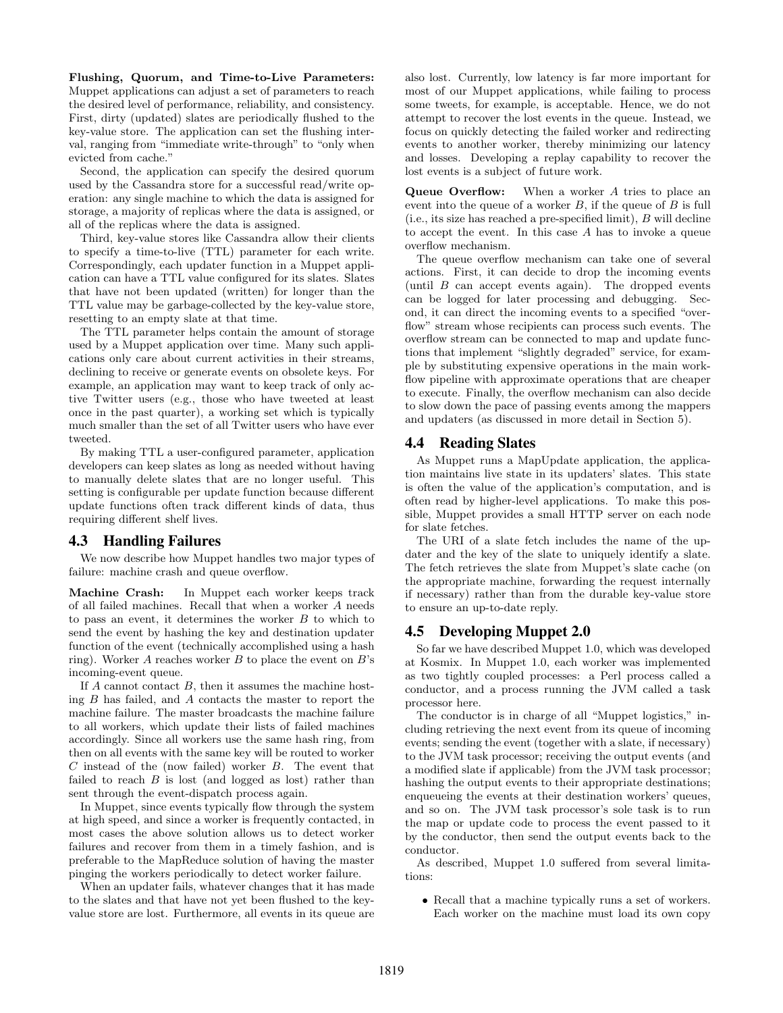Flushing, Quorum, and Time-to-Live Parameters: Muppet applications can adjust a set of parameters to reach the desired level of performance, reliability, and consistency. First, dirty (updated) slates are periodically flushed to the key-value store. The application can set the flushing interval, ranging from "immediate write-through" to "only when evicted from cache."

Second, the application can specify the desired quorum used by the Cassandra store for a successful read/write operation: any single machine to which the data is assigned for storage, a majority of replicas where the data is assigned, or all of the replicas where the data is assigned.

Third, key-value stores like Cassandra allow their clients to specify a time-to-live (TTL) parameter for each write. Correspondingly, each updater function in a Muppet application can have a TTL value configured for its slates. Slates that have not been updated (written) for longer than the TTL value may be garbage-collected by the key-value store, resetting to an empty slate at that time.

The TTL parameter helps contain the amount of storage used by a Muppet application over time. Many such applications only care about current activities in their streams, declining to receive or generate events on obsolete keys. For example, an application may want to keep track of only active Twitter users (e.g., those who have tweeted at least once in the past quarter), a working set which is typically much smaller than the set of all Twitter users who have ever tweeted.

By making TTL a user-configured parameter, application developers can keep slates as long as needed without having to manually delete slates that are no longer useful. This setting is configurable per update function because different update functions often track different kinds of data, thus requiring different shelf lives.

# 4.3 Handling Failures

We now describe how Muppet handles two major types of failure: machine crash and queue overflow.

Machine Crash: In Muppet each worker keeps track of all failed machines. Recall that when a worker A needs to pass an event, it determines the worker  $B$  to which to send the event by hashing the key and destination updater function of the event (technically accomplished using a hash ring). Worker  $A$  reaches worker  $B$  to place the event on  $B$ 's incoming-event queue.

If A cannot contact B, then it assumes the machine hosting B has failed, and A contacts the master to report the machine failure. The master broadcasts the machine failure to all workers, which update their lists of failed machines accordingly. Since all workers use the same hash ring, from then on all events with the same key will be routed to worker C instead of the (now failed) worker B. The event that failed to reach  $B$  is lost (and logged as lost) rather than sent through the event-dispatch process again.

In Muppet, since events typically flow through the system at high speed, and since a worker is frequently contacted, in most cases the above solution allows us to detect worker failures and recover from them in a timely fashion, and is preferable to the MapReduce solution of having the master pinging the workers periodically to detect worker failure.

When an updater fails, whatever changes that it has made to the slates and that have not yet been flushed to the keyvalue store are lost. Furthermore, all events in its queue are also lost. Currently, low latency is far more important for most of our Muppet applications, while failing to process some tweets, for example, is acceptable. Hence, we do not attempt to recover the lost events in the queue. Instead, we focus on quickly detecting the failed worker and redirecting events to another worker, thereby minimizing our latency and losses. Developing a replay capability to recover the lost events is a subject of future work.

Queue Overflow: When a worker A tries to place an event into the queue of a worker  $B$ , if the queue of  $B$  is full (i.e., its size has reached a pre-specified limit), B will decline to accept the event. In this case A has to invoke a queue overflow mechanism.

The queue overflow mechanism can take one of several actions. First, it can decide to drop the incoming events (until  $B$  can accept events again). The dropped events can be logged for later processing and debugging. Second, it can direct the incoming events to a specified "overflow" stream whose recipients can process such events. The overflow stream can be connected to map and update functions that implement "slightly degraded" service, for example by substituting expensive operations in the main workflow pipeline with approximate operations that are cheaper to execute. Finally, the overflow mechanism can also decide to slow down the pace of passing events among the mappers and updaters (as discussed in more detail in Section 5).

#### 4.4 Reading Slates

As Muppet runs a MapUpdate application, the application maintains live state in its updaters' slates. This state is often the value of the application's computation, and is often read by higher-level applications. To make this possible, Muppet provides a small HTTP server on each node for slate fetches.

The URI of a slate fetch includes the name of the updater and the key of the slate to uniquely identify a slate. The fetch retrieves the slate from Muppet's slate cache (on the appropriate machine, forwarding the request internally if necessary) rather than from the durable key-value store to ensure an up-to-date reply.

#### 4.5 Developing Muppet 2.0

So far we have described Muppet 1.0, which was developed at Kosmix. In Muppet 1.0, each worker was implemented as two tightly coupled processes: a Perl process called a conductor, and a process running the JVM called a task processor here.

The conductor is in charge of all "Muppet logistics," including retrieving the next event from its queue of incoming events; sending the event (together with a slate, if necessary) to the JVM task processor; receiving the output events (and a modified slate if applicable) from the JVM task processor; hashing the output events to their appropriate destinations; enqueueing the events at their destination workers' queues, and so on. The JVM task processor's sole task is to run the map or update code to process the event passed to it by the conductor, then send the output events back to the conductor.

As described, Muppet 1.0 suffered from several limitations:

• Recall that a machine typically runs a set of workers. Each worker on the machine must load its own copy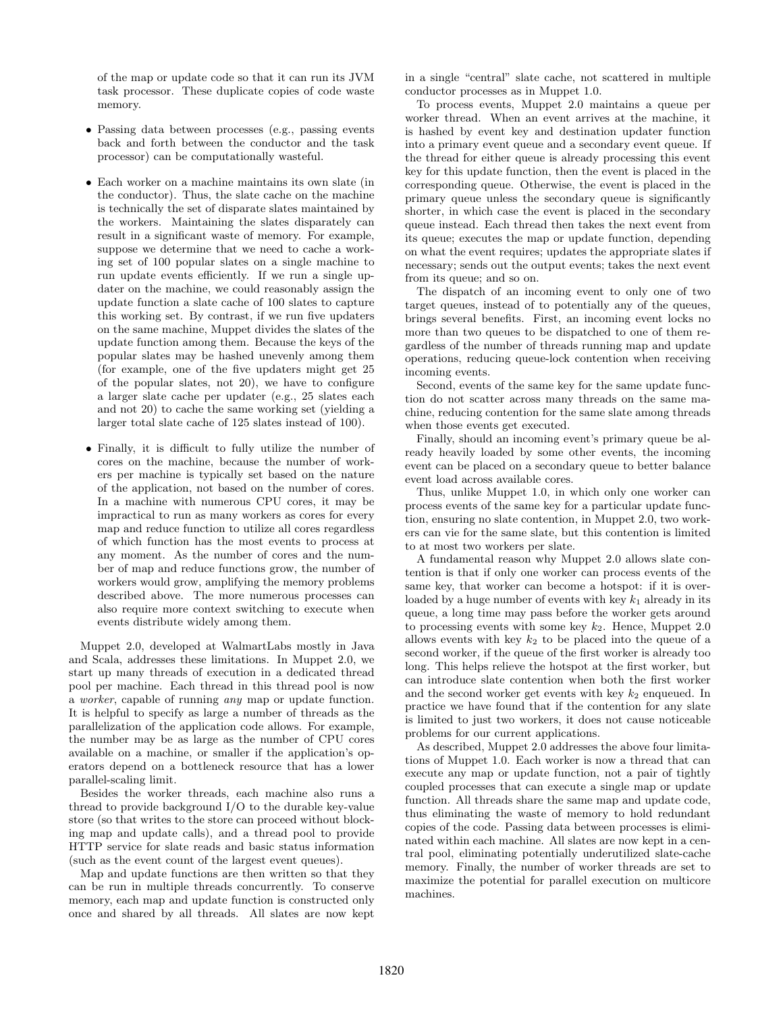of the map or update code so that it can run its JVM task processor. These duplicate copies of code waste memory.

- Passing data between processes (e.g., passing events back and forth between the conductor and the task processor) can be computationally wasteful.
- Each worker on a machine maintains its own slate (in the conductor). Thus, the slate cache on the machine is technically the set of disparate slates maintained by the workers. Maintaining the slates disparately can result in a significant waste of memory. For example, suppose we determine that we need to cache a working set of 100 popular slates on a single machine to run update events efficiently. If we run a single updater on the machine, we could reasonably assign the update function a slate cache of 100 slates to capture this working set. By contrast, if we run five updaters on the same machine, Muppet divides the slates of the update function among them. Because the keys of the popular slates may be hashed unevenly among them (for example, one of the five updaters might get 25 of the popular slates, not 20), we have to configure a larger slate cache per updater (e.g., 25 slates each and not 20) to cache the same working set (yielding a larger total slate cache of 125 slates instead of 100).
- Finally, it is difficult to fully utilize the number of cores on the machine, because the number of workers per machine is typically set based on the nature of the application, not based on the number of cores. In a machine with numerous CPU cores, it may be impractical to run as many workers as cores for every map and reduce function to utilize all cores regardless of which function has the most events to process at any moment. As the number of cores and the number of map and reduce functions grow, the number of workers would grow, amplifying the memory problems described above. The more numerous processes can also require more context switching to execute when events distribute widely among them.

Muppet 2.0, developed at WalmartLabs mostly in Java and Scala, addresses these limitations. In Muppet 2.0, we start up many threads of execution in a dedicated thread pool per machine. Each thread in this thread pool is now a worker, capable of running any map or update function. It is helpful to specify as large a number of threads as the parallelization of the application code allows. For example, the number may be as large as the number of CPU cores available on a machine, or smaller if the application's operators depend on a bottleneck resource that has a lower parallel-scaling limit.

Besides the worker threads, each machine also runs a thread to provide background I/O to the durable key-value store (so that writes to the store can proceed without blocking map and update calls), and a thread pool to provide HTTP service for slate reads and basic status information (such as the event count of the largest event queues).

Map and update functions are then written so that they can be run in multiple threads concurrently. To conserve memory, each map and update function is constructed only once and shared by all threads. All slates are now kept

in a single "central" slate cache, not scattered in multiple conductor processes as in Muppet 1.0.

To process events, Muppet 2.0 maintains a queue per worker thread. When an event arrives at the machine, it is hashed by event key and destination updater function into a primary event queue and a secondary event queue. If the thread for either queue is already processing this event key for this update function, then the event is placed in the corresponding queue. Otherwise, the event is placed in the primary queue unless the secondary queue is significantly shorter, in which case the event is placed in the secondary queue instead. Each thread then takes the next event from its queue; executes the map or update function, depending on what the event requires; updates the appropriate slates if necessary; sends out the output events; takes the next event from its queue; and so on.

The dispatch of an incoming event to only one of two target queues, instead of to potentially any of the queues, brings several benefits. First, an incoming event locks no more than two queues to be dispatched to one of them regardless of the number of threads running map and update operations, reducing queue-lock contention when receiving incoming events.

Second, events of the same key for the same update function do not scatter across many threads on the same machine, reducing contention for the same slate among threads when those events get executed.

Finally, should an incoming event's primary queue be already heavily loaded by some other events, the incoming event can be placed on a secondary queue to better balance event load across available cores.

Thus, unlike Muppet 1.0, in which only one worker can process events of the same key for a particular update function, ensuring no slate contention, in Muppet 2.0, two workers can vie for the same slate, but this contention is limited to at most two workers per slate.

A fundamental reason why Muppet 2.0 allows slate contention is that if only one worker can process events of the same key, that worker can become a hotspot: if it is overloaded by a huge number of events with key  $k_1$  already in its queue, a long time may pass before the worker gets around to processing events with some key  $k_2$ . Hence, Muppet 2.0 allows events with key  $k_2$  to be placed into the queue of a second worker, if the queue of the first worker is already too long. This helps relieve the hotspot at the first worker, but can introduce slate contention when both the first worker and the second worker get events with key  $k_2$  enqueued. In practice we have found that if the contention for any slate is limited to just two workers, it does not cause noticeable problems for our current applications.

As described, Muppet 2.0 addresses the above four limitations of Muppet 1.0. Each worker is now a thread that can execute any map or update function, not a pair of tightly coupled processes that can execute a single map or update function. All threads share the same map and update code, thus eliminating the waste of memory to hold redundant copies of the code. Passing data between processes is eliminated within each machine. All slates are now kept in a central pool, eliminating potentially underutilized slate-cache memory. Finally, the number of worker threads are set to maximize the potential for parallel execution on multicore machines.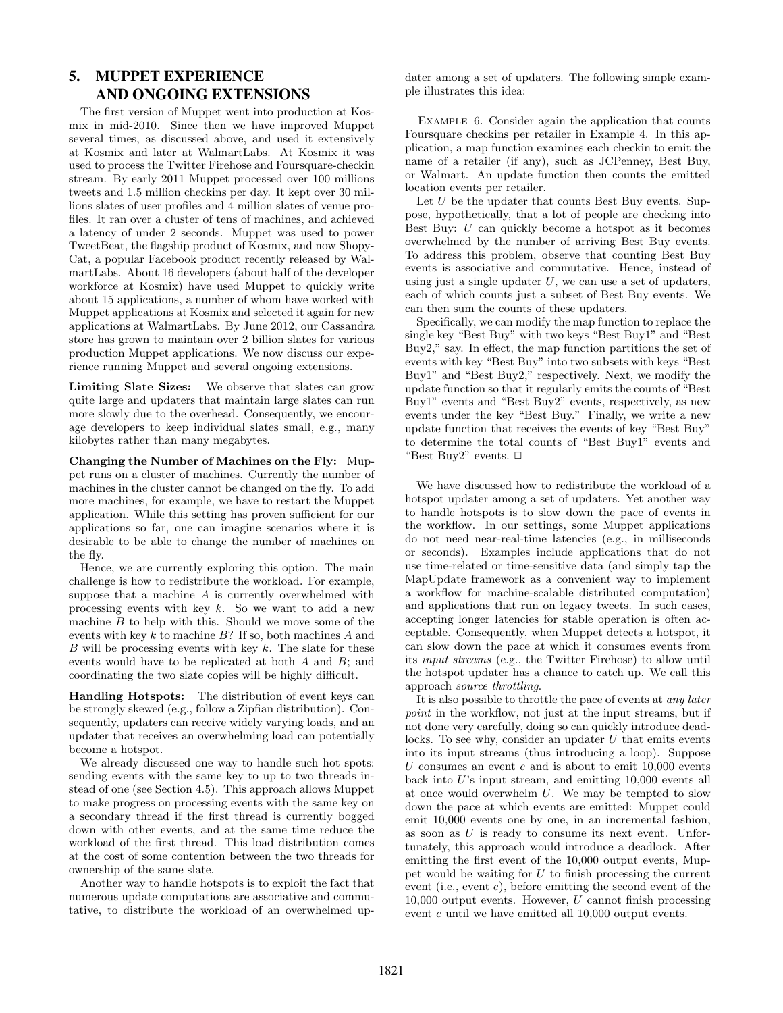# 5. MUPPET EXPERIENCE AND ONGOING EXTENSIONS

The first version of Muppet went into production at Kosmix in mid-2010. Since then we have improved Muppet several times, as discussed above, and used it extensively at Kosmix and later at WalmartLabs. At Kosmix it was used to process the Twitter Firehose and Foursquare-checkin stream. By early 2011 Muppet processed over 100 millions tweets and 1.5 million checkins per day. It kept over 30 millions slates of user profiles and 4 million slates of venue profiles. It ran over a cluster of tens of machines, and achieved a latency of under 2 seconds. Muppet was used to power TweetBeat, the flagship product of Kosmix, and now Shopy-Cat, a popular Facebook product recently released by WalmartLabs. About 16 developers (about half of the developer workforce at Kosmix) have used Muppet to quickly write about 15 applications, a number of whom have worked with Muppet applications at Kosmix and selected it again for new applications at WalmartLabs. By June 2012, our Cassandra store has grown to maintain over 2 billion slates for various production Muppet applications. We now discuss our experience running Muppet and several ongoing extensions.

Limiting Slate Sizes: We observe that slates can grow quite large and updaters that maintain large slates can run more slowly due to the overhead. Consequently, we encourage developers to keep individual slates small, e.g., many kilobytes rather than many megabytes.

Changing the Number of Machines on the Fly: Muppet runs on a cluster of machines. Currently the number of machines in the cluster cannot be changed on the fly. To add more machines, for example, we have to restart the Muppet application. While this setting has proven sufficient for our applications so far, one can imagine scenarios where it is desirable to be able to change the number of machines on the fly.

Hence, we are currently exploring this option. The main challenge is how to redistribute the workload. For example, suppose that a machine A is currently overwhelmed with processing events with key  $k$ . So we want to add a new machine  $B$  to help with this. Should we move some of the events with key  $k$  to machine  $B$ ? If so, both machines  $A$  and B will be processing events with key  $k$ . The slate for these events would have to be replicated at both A and B; and coordinating the two slate copies will be highly difficult.

Handling Hotspots: The distribution of event keys can be strongly skewed (e.g., follow a Zipfian distribution). Consequently, updaters can receive widely varying loads, and an updater that receives an overwhelming load can potentially become a hotspot.

We already discussed one way to handle such hot spots: sending events with the same key to up to two threads instead of one (see Section 4.5). This approach allows Muppet to make progress on processing events with the same key on a secondary thread if the first thread is currently bogged down with other events, and at the same time reduce the workload of the first thread. This load distribution comes at the cost of some contention between the two threads for ownership of the same slate.

Another way to handle hotspots is to exploit the fact that numerous update computations are associative and commutative, to distribute the workload of an overwhelmed updater among a set of updaters. The following simple example illustrates this idea:

Example 6. Consider again the application that counts Foursquare checkins per retailer in Example 4. In this application, a map function examines each checkin to emit the name of a retailer (if any), such as JCPenney, Best Buy, or Walmart. An update function then counts the emitted location events per retailer.

Let  $U$  be the updater that counts Best Buy events. Suppose, hypothetically, that a lot of people are checking into Best Buy: U can quickly become a hotspot as it becomes overwhelmed by the number of arriving Best Buy events. To address this problem, observe that counting Best Buy events is associative and commutative. Hence, instead of using just a single updater  $U$ , we can use a set of updaters, each of which counts just a subset of Best Buy events. We can then sum the counts of these updaters.

Specifically, we can modify the map function to replace the single key "Best Buy" with two keys "Best Buy1" and "Best Buy2," say. In effect, the map function partitions the set of events with key "Best Buy" into two subsets with keys "Best Buy1" and "Best Buy2," respectively. Next, we modify the update function so that it regularly emits the counts of "Best Buy1" events and "Best Buy2" events, respectively, as new events under the key "Best Buy." Finally, we write a new update function that receives the events of key "Best Buy" to determine the total counts of "Best Buy1" events and "Best Buy2" events.  $\Box$ 

We have discussed how to redistribute the workload of a hotspot updater among a set of updaters. Yet another way to handle hotspots is to slow down the pace of events in the workflow. In our settings, some Muppet applications do not need near-real-time latencies (e.g., in milliseconds or seconds). Examples include applications that do not use time-related or time-sensitive data (and simply tap the MapUpdate framework as a convenient way to implement a workflow for machine-scalable distributed computation) and applications that run on legacy tweets. In such cases, accepting longer latencies for stable operation is often acceptable. Consequently, when Muppet detects a hotspot, it can slow down the pace at which it consumes events from its input streams (e.g., the Twitter Firehose) to allow until the hotspot updater has a chance to catch up. We call this approach source throttling.

It is also possible to throttle the pace of events at any later point in the workflow, not just at the input streams, but if not done very carefully, doing so can quickly introduce deadlocks. To see why, consider an updater  $U$  that emits events into its input streams (thus introducing a loop). Suppose U consumes an event  $e$  and is about to emit  $10,000$  events back into U's input stream, and emitting 10,000 events all at once would overwhelm U. We may be tempted to slow down the pace at which events are emitted: Muppet could emit 10,000 events one by one, in an incremental fashion, as soon as U is ready to consume its next event. Unfortunately, this approach would introduce a deadlock. After emitting the first event of the 10,000 output events, Muppet would be waiting for U to finish processing the current event (i.e., event e), before emitting the second event of the  $10,000$  output events. However,  $U$  cannot finish processing event e until we have emitted all 10,000 output events.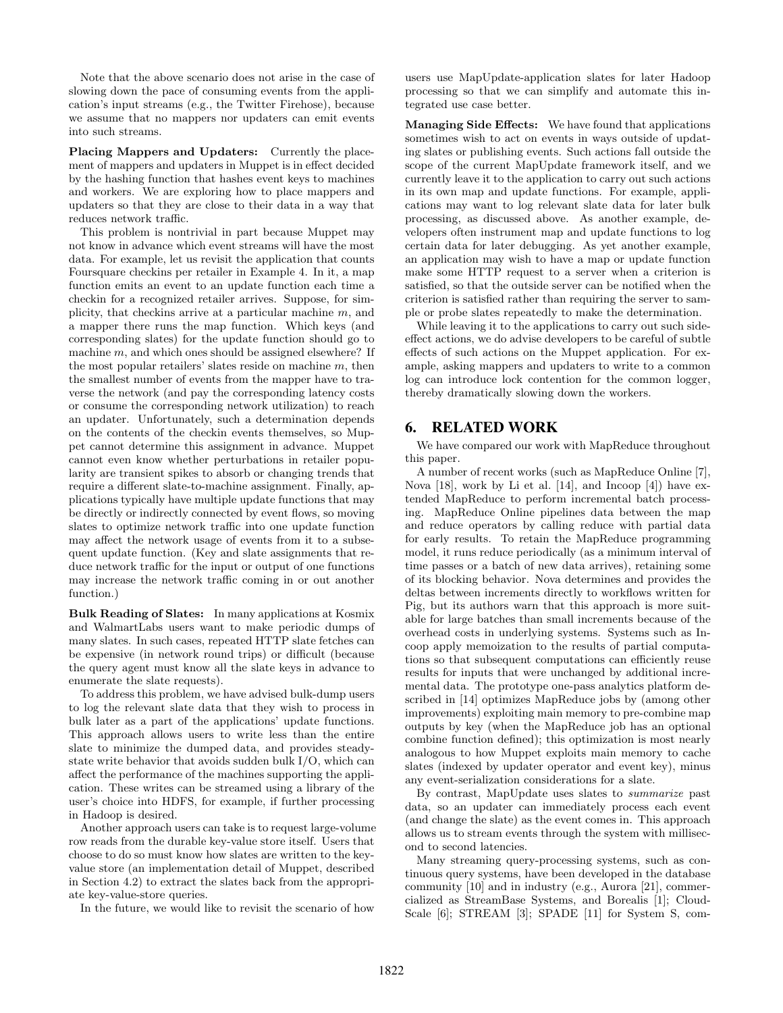Note that the above scenario does not arise in the case of slowing down the pace of consuming events from the application's input streams (e.g., the Twitter Firehose), because we assume that no mappers nor updaters can emit events into such streams.

Placing Mappers and Updaters: Currently the placement of mappers and updaters in Muppet is in effect decided by the hashing function that hashes event keys to machines and workers. We are exploring how to place mappers and updaters so that they are close to their data in a way that reduces network traffic.

This problem is nontrivial in part because Muppet may not know in advance which event streams will have the most data. For example, let us revisit the application that counts Foursquare checkins per retailer in Example 4. In it, a map function emits an event to an update function each time a checkin for a recognized retailer arrives. Suppose, for simplicity, that checkins arrive at a particular machine m, and a mapper there runs the map function. Which keys (and corresponding slates) for the update function should go to machine m, and which ones should be assigned elsewhere? If the most popular retailers' slates reside on machine  $m$ , then the smallest number of events from the mapper have to traverse the network (and pay the corresponding latency costs or consume the corresponding network utilization) to reach an updater. Unfortunately, such a determination depends on the contents of the checkin events themselves, so Muppet cannot determine this assignment in advance. Muppet cannot even know whether perturbations in retailer popularity are transient spikes to absorb or changing trends that require a different slate-to-machine assignment. Finally, applications typically have multiple update functions that may be directly or indirectly connected by event flows, so moving slates to optimize network traffic into one update function may affect the network usage of events from it to a subsequent update function. (Key and slate assignments that reduce network traffic for the input or output of one functions may increase the network traffic coming in or out another function.)

Bulk Reading of Slates: In many applications at Kosmix and WalmartLabs users want to make periodic dumps of many slates. In such cases, repeated HTTP slate fetches can be expensive (in network round trips) or difficult (because the query agent must know all the slate keys in advance to enumerate the slate requests).

To address this problem, we have advised bulk-dump users to log the relevant slate data that they wish to process in bulk later as a part of the applications' update functions. This approach allows users to write less than the entire slate to minimize the dumped data, and provides steadystate write behavior that avoids sudden bulk I/O, which can affect the performance of the machines supporting the application. These writes can be streamed using a library of the user's choice into HDFS, for example, if further processing in Hadoop is desired.

Another approach users can take is to request large-volume row reads from the durable key-value store itself. Users that choose to do so must know how slates are written to the keyvalue store (an implementation detail of Muppet, described in Section 4.2) to extract the slates back from the appropriate key-value-store queries.

In the future, we would like to revisit the scenario of how

users use MapUpdate-application slates for later Hadoop processing so that we can simplify and automate this integrated use case better.

Managing Side Effects: We have found that applications sometimes wish to act on events in ways outside of updating slates or publishing events. Such actions fall outside the scope of the current MapUpdate framework itself, and we currently leave it to the application to carry out such actions in its own map and update functions. For example, applications may want to log relevant slate data for later bulk processing, as discussed above. As another example, developers often instrument map and update functions to log certain data for later debugging. As yet another example, an application may wish to have a map or update function make some HTTP request to a server when a criterion is satisfied, so that the outside server can be notified when the criterion is satisfied rather than requiring the server to sample or probe slates repeatedly to make the determination.

While leaving it to the applications to carry out such sideeffect actions, we do advise developers to be careful of subtle effects of such actions on the Muppet application. For example, asking mappers and updaters to write to a common log can introduce lock contention for the common logger, thereby dramatically slowing down the workers.

#### 6. RELATED WORK

We have compared our work with MapReduce throughout this paper.

A number of recent works (such as MapReduce Online [7], Nova [18], work by Li et al. [14], and Incoop [4]) have extended MapReduce to perform incremental batch processing. MapReduce Online pipelines data between the map and reduce operators by calling reduce with partial data for early results. To retain the MapReduce programming model, it runs reduce periodically (as a minimum interval of time passes or a batch of new data arrives), retaining some of its blocking behavior. Nova determines and provides the deltas between increments directly to workflows written for Pig, but its authors warn that this approach is more suitable for large batches than small increments because of the overhead costs in underlying systems. Systems such as Incoop apply memoization to the results of partial computations so that subsequent computations can efficiently reuse results for inputs that were unchanged by additional incremental data. The prototype one-pass analytics platform described in [14] optimizes MapReduce jobs by (among other improvements) exploiting main memory to pre-combine map outputs by key (when the MapReduce job has an optional combine function defined); this optimization is most nearly analogous to how Muppet exploits main memory to cache slates (indexed by updater operator and event key), minus any event-serialization considerations for a slate.

By contrast, MapUpdate uses slates to summarize past data, so an updater can immediately process each event (and change the slate) as the event comes in. This approach allows us to stream events through the system with millisecond to second latencies.

Many streaming query-processing systems, such as continuous query systems, have been developed in the database community [10] and in industry (e.g., Aurora [21], commercialized as StreamBase Systems, and Borealis [1]; Cloud-Scale [6]; STREAM [3]; SPADE [11] for System S, com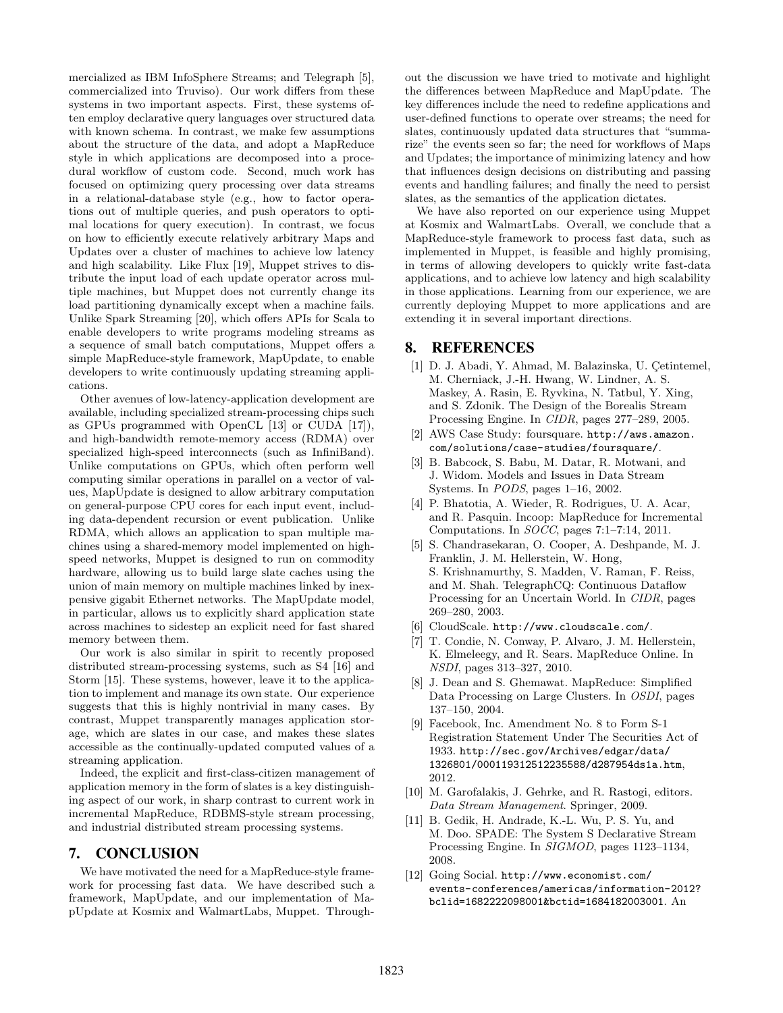mercialized as IBM InfoSphere Streams; and Telegraph [5], commercialized into Truviso). Our work differs from these systems in two important aspects. First, these systems often employ declarative query languages over structured data with known schema. In contrast, we make few assumptions about the structure of the data, and adopt a MapReduce style in which applications are decomposed into a procedural workflow of custom code. Second, much work has focused on optimizing query processing over data streams in a relational-database style (e.g., how to factor operations out of multiple queries, and push operators to optimal locations for query execution). In contrast, we focus on how to efficiently execute relatively arbitrary Maps and Updates over a cluster of machines to achieve low latency and high scalability. Like Flux [19], Muppet strives to distribute the input load of each update operator across multiple machines, but Muppet does not currently change its load partitioning dynamically except when a machine fails. Unlike Spark Streaming [20], which offers APIs for Scala to enable developers to write programs modeling streams as a sequence of small batch computations, Muppet offers a simple MapReduce-style framework, MapUpdate, to enable developers to write continuously updating streaming applications.

Other avenues of low-latency-application development are available, including specialized stream-processing chips such as GPUs programmed with OpenCL [13] or CUDA [17]), and high-bandwidth remote-memory access (RDMA) over specialized high-speed interconnects (such as InfiniBand). Unlike computations on GPUs, which often perform well computing similar operations in parallel on a vector of values, MapUpdate is designed to allow arbitrary computation on general-purpose CPU cores for each input event, including data-dependent recursion or event publication. Unlike RDMA, which allows an application to span multiple machines using a shared-memory model implemented on highspeed networks, Muppet is designed to run on commodity hardware, allowing us to build large slate caches using the union of main memory on multiple machines linked by inexpensive gigabit Ethernet networks. The MapUpdate model, in particular, allows us to explicitly shard application state across machines to sidestep an explicit need for fast shared memory between them.

Our work is also similar in spirit to recently proposed distributed stream-processing systems, such as S4 [16] and Storm [15]. These systems, however, leave it to the application to implement and manage its own state. Our experience suggests that this is highly nontrivial in many cases. By contrast, Muppet transparently manages application storage, which are slates in our case, and makes these slates accessible as the continually-updated computed values of a streaming application.

Indeed, the explicit and first-class-citizen management of application memory in the form of slates is a key distinguishing aspect of our work, in sharp contrast to current work in incremental MapReduce, RDBMS-style stream processing, and industrial distributed stream processing systems.

# 7. CONCLUSION

We have motivated the need for a MapReduce-style framework for processing fast data. We have described such a framework, MapUpdate, and our implementation of MapUpdate at Kosmix and WalmartLabs, Muppet. Throughout the discussion we have tried to motivate and highlight the differences between MapReduce and MapUpdate. The key differences include the need to redefine applications and user-defined functions to operate over streams; the need for slates, continuously updated data structures that "summarize" the events seen so far; the need for workflows of Maps and Updates; the importance of minimizing latency and how that influences design decisions on distributing and passing events and handling failures; and finally the need to persist slates, as the semantics of the application dictates.

We have also reported on our experience using Muppet at Kosmix and WalmartLabs. Overall, we conclude that a MapReduce-style framework to process fast data, such as implemented in Muppet, is feasible and highly promising, in terms of allowing developers to quickly write fast-data applications, and to achieve low latency and high scalability in those applications. Learning from our experience, we are currently deploying Muppet to more applications and are extending it in several important directions.

# 8. REFERENCES

- [1] D. J. Abadi, Y. Ahmad, M. Balazinska, U. Cetintemel, M. Cherniack, J.-H. Hwang, W. Lindner, A. S. Maskey, A. Rasin, E. Ryvkina, N. Tatbul, Y. Xing, and S. Zdonik. The Design of the Borealis Stream Processing Engine. In CIDR, pages 277–289, 2005.
- [2] AWS Case Study: foursquare. http://aws.amazon. com/solutions/case-studies/foursquare/.
- [3] B. Babcock, S. Babu, M. Datar, R. Motwani, and J. Widom. Models and Issues in Data Stream Systems. In PODS, pages 1–16, 2002.
- [4] P. Bhatotia, A. Wieder, R. Rodrigues, U. A. Acar, and R. Pasquin. Incoop: MapReduce for Incremental Computations. In SOCC, pages 7:1–7:14, 2011.
- [5] S. Chandrasekaran, O. Cooper, A. Deshpande, M. J. Franklin, J. M. Hellerstein, W. Hong, S. Krishnamurthy, S. Madden, V. Raman, F. Reiss, and M. Shah. TelegraphCQ: Continuous Dataflow Processing for an Uncertain World. In CIDR, pages 269–280, 2003.
- [6] CloudScale. http://www.cloudscale.com/.
- [7] T. Condie, N. Conway, P. Alvaro, J. M. Hellerstein, K. Elmeleegy, and R. Sears. MapReduce Online. In NSDI, pages 313–327, 2010.
- [8] J. Dean and S. Ghemawat. MapReduce: Simplified Data Processing on Large Clusters. In OSDI, pages 137–150, 2004.
- [9] Facebook, Inc. Amendment No. 8 to Form S-1 Registration Statement Under The Securities Act of 1933. http://sec.gov/Archives/edgar/data/ 1326801/000119312512235588/d287954ds1a.htm, 2012.
- [10] M. Garofalakis, J. Gehrke, and R. Rastogi, editors. Data Stream Management. Springer, 2009.
- [11] B. Gedik, H. Andrade, K.-L. Wu, P. S. Yu, and M. Doo. SPADE: The System S Declarative Stream Processing Engine. In SIGMOD, pages 1123–1134, 2008.
- [12] Going Social. http://www.economist.com/ events-conferences/americas/information-2012? bclid=1682222098001&bctid=1684182003001. An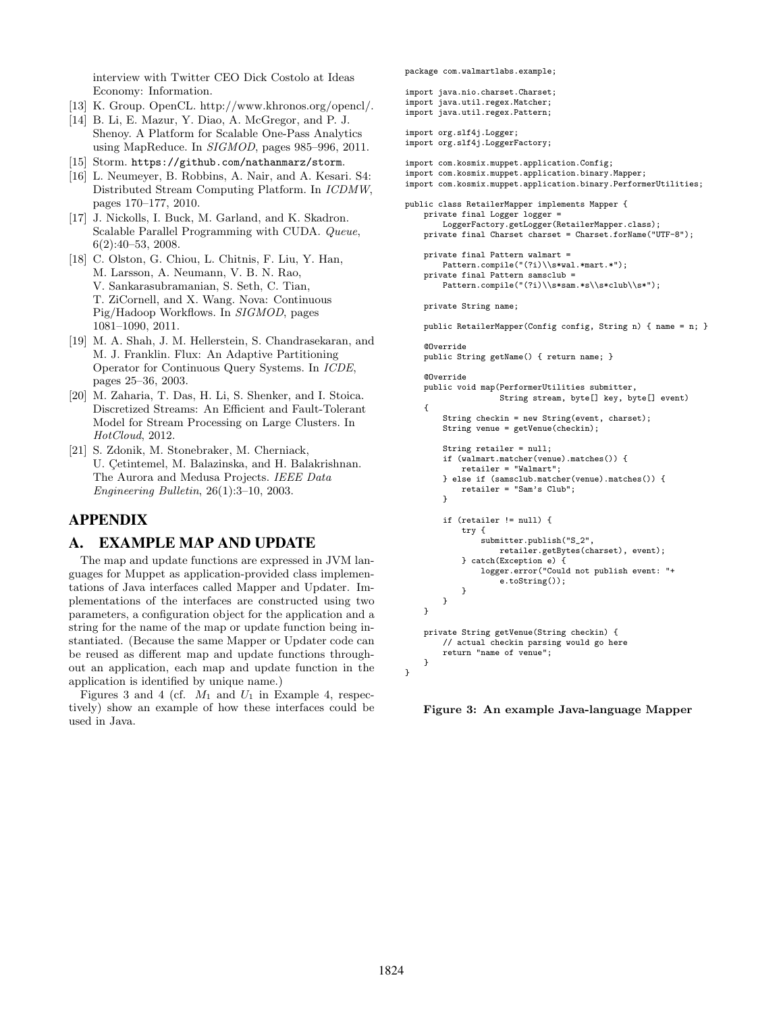interview with Twitter CEO Dick Costolo at Ideas Economy: Information.

- [13] K. Group. OpenCL. http://www.khronos.org/opencl/.
- [14] B. Li, E. Mazur, Y. Diao, A. McGregor, and P. J. Shenoy. A Platform for Scalable One-Pass Analytics using MapReduce. In SIGMOD, pages 985–996, 2011.
- [15] Storm. https://github.com/nathanmarz/storm.
- [16] L. Neumeyer, B. Robbins, A. Nair, and A. Kesari. S4: Distributed Stream Computing Platform. In ICDMW, pages 170–177, 2010.
- [17] J. Nickolls, I. Buck, M. Garland, and K. Skadron. Scalable Parallel Programming with CUDA. Queue, 6(2):40–53, 2008.
- [18] C. Olston, G. Chiou, L. Chitnis, F. Liu, Y. Han, M. Larsson, A. Neumann, V. B. N. Rao, V. Sankarasubramanian, S. Seth, C. Tian, T. ZiCornell, and X. Wang. Nova: Continuous Pig/Hadoop Workflows. In SIGMOD, pages 1081–1090, 2011.
- [19] M. A. Shah, J. M. Hellerstein, S. Chandrasekaran, and M. J. Franklin. Flux: An Adaptive Partitioning Operator for Continuous Query Systems. In ICDE, pages 25–36, 2003.
- [20] M. Zaharia, T. Das, H. Li, S. Shenker, and I. Stoica. Discretized Streams: An Efficient and Fault-Tolerant Model for Stream Processing on Large Clusters. In HotCloud, 2012.
- [21] S. Zdonik, M. Stonebraker, M. Cherniack, U. Çetintemel, M. Balazinska, and H. Balakrishnan. The Aurora and Medusa Projects. IEEE Data Engineering Bulletin, 26(1):3–10, 2003.

# APPENDIX

### A. EXAMPLE MAP AND UPDATE

The map and update functions are expressed in JVM languages for Muppet as application-provided class implementations of Java interfaces called Mapper and Updater. Implementations of the interfaces are constructed using two parameters, a configuration object for the application and a string for the name of the map or update function being instantiated. (Because the same Mapper or Updater code can be reused as different map and update functions throughout an application, each map and update function in the application is identified by unique name.)

Figures 3 and 4 (cf.  $M_1$  and  $U_1$  in Example 4, respectively) show an example of how these interfaces could be used in Java.

```
package com.walmartlabs.example;
import java.nio.charset.Charset;
import java.util.regex.Matcher;
import java.util.regex.Pattern;
import org.slf4j.Logger;
import org.slf4j.LoggerFactory;
import com.kosmix.muppet.application.Config;
import com.kosmix.muppet.application.binary.Mapper;
import com.kosmix.muppet.application.binary.PerformerUtilities;
public class RetailerMapper implements Mapper {
   private final Logger logger =
        LoggerFactory.getLogger(RetailerMapper.class);
   private final Charset charset = Charset.forName("UTF-8");
    private final Pattern walmart =
        Pattern.compile("(?i)\\s*wal.*mart.*");
   private final Pattern samsclub =
       Pattern.compile("(?i)\\s*sam.*s\\s*club\\s*");
   private String name;
   public RetailerMapper(Config config, String n) { name = n; }
    @Override
   public String getName() { return name; }
    @Override
   public void map(PerformerUtilities submitter,
                    String stream, byte[] key, byte[] event)
    {
        String checkin = new String(event, charset);
        String venue = getVenue(checkin);
        String retailer = null;
        if (walmart.matcher(venue).matches()) {
            retailer = "Walmart";
        } else if (samsclub.matcher(venue).matches()) {
            retailer = "Sam's Club";
        }
        if (retailer != null) {
            try {
                submitter.publish("S_2",
                    retailer.getBytes(charset), event);
            } catch(Exception e) {
                logger.error("Could not publish event: "+
                    e.toString());
           }
       }
   }
   private String getVenue(String checkin) {
        // actual checkin parsing would go here
        return "name of venue";
   }
```
}

Figure 3: An example Java-language Mapper